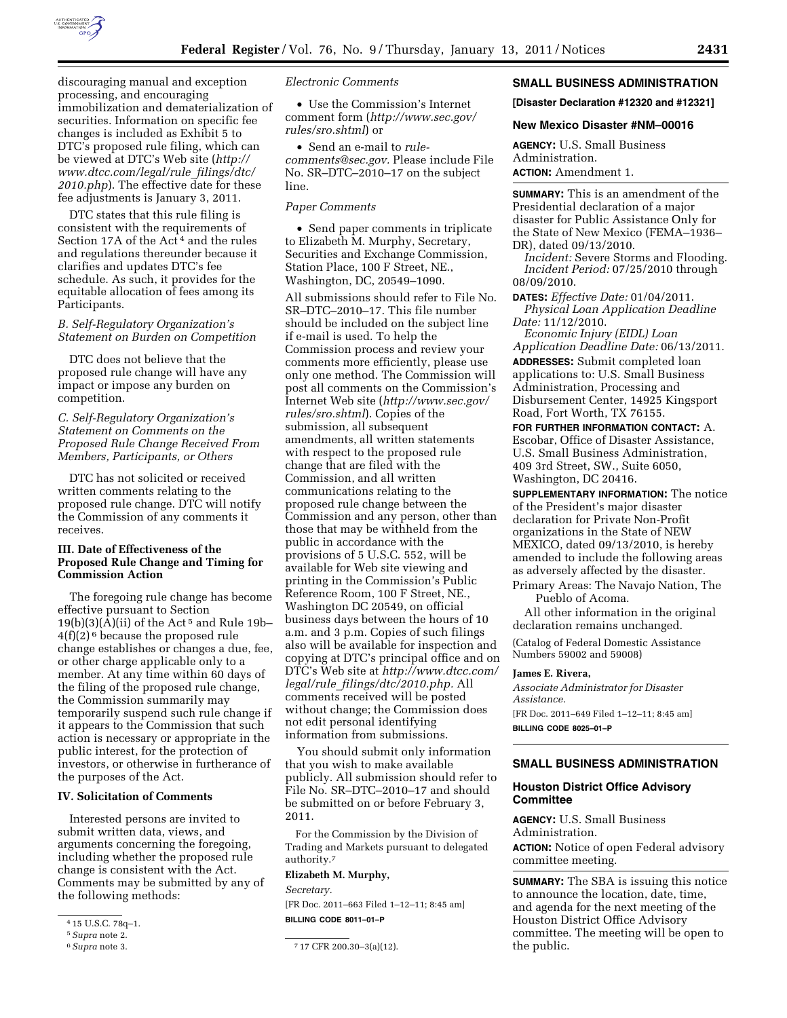

discouraging manual and exception processing, and encouraging immobilization and dematerialization of securities. Information on specific fee changes is included as Exhibit 5 to DTC's proposed rule filing, which can be viewed at DTC's Web site (*[http://](http://www.dtcc.com/legal/rule_filings/dtc/2010.php) [www.dtcc.com/legal/rule](http://www.dtcc.com/legal/rule_filings/dtc/2010.php)*\_*filings/dtc/ [2010.php](http://www.dtcc.com/legal/rule_filings/dtc/2010.php)*). The effective date for these fee adjustments is January 3, 2011.

DTC states that this rule filing is consistent with the requirements of Section 17A of the Act<sup>4</sup> and the rules and regulations thereunder because it clarifies and updates DTC's fee schedule. As such, it provides for the equitable allocation of fees among its Participants.

#### *B. Self-Regulatory Organization's Statement on Burden on Competition*

DTC does not believe that the proposed rule change will have any impact or impose any burden on competition.

## *C. Self-Regulatory Organization's Statement on Comments on the Proposed Rule Change Received From Members, Participants, or Others*

DTC has not solicited or received written comments relating to the proposed rule change. DTC will notify the Commission of any comments it receives.

## **III. Date of Effectiveness of the Proposed Rule Change and Timing for Commission Action**

The foregoing rule change has become effective pursuant to Section  $19(b)(3)(A)(ii)$  of the Act<sup>5</sup> and Rule 19b-4(f)(2) 6 because the proposed rule change establishes or changes a due, fee, or other charge applicable only to a member. At any time within 60 days of the filing of the proposed rule change, the Commission summarily may temporarily suspend such rule change if it appears to the Commission that such action is necessary or appropriate in the public interest, for the protection of investors, or otherwise in furtherance of the purposes of the Act.

#### **IV. Solicitation of Comments**

Interested persons are invited to submit written data, views, and arguments concerning the foregoing, including whether the proposed rule change is consistent with the Act. Comments may be submitted by any of the following methods:

*Electronic Comments* 

• Use the Commission's Internet comment form (*[http://www.sec.gov/](http://www.sec.gov/rules/sro.shtml)  [rules/sro.shtml](http://www.sec.gov/rules/sro.shtml)*) or

• Send an e-mail to *[rule](mailto:rule-comments@sec.gov)[comments@sec.gov.](mailto:rule-comments@sec.gov)* Please include File No. SR–DTC–2010–17 on the subject line.

#### *Paper Comments*

• Send paper comments in triplicate to Elizabeth M. Murphy, Secretary, Securities and Exchange Commission, Station Place, 100 F Street, NE., Washington, DC, 20549–1090.

All submissions should refer to File No. SR–DTC–2010–17. This file number should be included on the subject line if e-mail is used. To help the Commission process and review your comments more efficiently, please use only one method. The Commission will post all comments on the Commission's Internet Web site (*[http://www.sec.gov/](http://www.sec.gov/rules/sro.shtml)  [rules/sro.shtml](http://www.sec.gov/rules/sro.shtml)*). Copies of the submission, all subsequent amendments, all written statements with respect to the proposed rule change that are filed with the Commission, and all written communications relating to the proposed rule change between the Commission and any person, other than those that may be withheld from the public in accordance with the provisions of 5 U.S.C. 552, will be available for Web site viewing and printing in the Commission's Public Reference Room, 100 F Street, NE., Washington DC 20549, on official business days between the hours of 10 a.m. and 3 p.m. Copies of such filings also will be available for inspection and copying at DTC's principal office and on DTC's Web site at *[http://www.dtcc.com/](http://www.dtcc.com/legal/rule_filings/dtc/2010.php)  legal/rule*\_*[filings/dtc/2010.php.](http://www.dtcc.com/legal/rule_filings/dtc/2010.php)* All comments received will be posted without change; the Commission does not edit personal identifying information from submissions.

You should submit only information that you wish to make available publicly. All submission should refer to File No. SR–DTC–2010–17 and should be submitted on or before February 3, 2011.

For the Commission by the Division of Trading and Markets pursuant to delegated authority.7

## **Elizabeth M. Murphy,**

*Secretary.* 

[FR Doc. 2011–663 Filed 1–12–11; 8:45 am] **BILLING CODE 8011–01–P** 

# **SMALL BUSINESS ADMINISTRATION**

**[Disaster Declaration #12320 and #12321]** 

# **New Mexico Disaster #NM–00016**

**AGENCY:** U.S. Small Business Administration. **ACTION:** Amendment 1.

**SUMMARY:** This is an amendment of the Presidential declaration of a major disaster for Public Assistance Only for the State of New Mexico (FEMA–1936– DR), dated 09/13/2010.

*Incident:* Severe Storms and Flooding. *Incident Period:* 07/25/2010 through 08/09/2010.

**DATES:** *Effective Date:* 01/04/2011. *Physical Loan Application Deadline Date:* 11/12/2010.

*Economic Injury (EIDL) Loan Application Deadline Date:* 06/13/2011. **ADDRESSES:** Submit completed loan applications to: U.S. Small Business Administration, Processing and Disbursement Center, 14925 Kingsport Road, Fort Worth, TX 76155.

**FOR FURTHER INFORMATION CONTACT:** A. Escobar, Office of Disaster Assistance, U.S. Small Business Administration, 409 3rd Street, SW., Suite 6050, Washington, DC 20416.

**SUPPLEMENTARY INFORMATION:** The notice of the President's major disaster declaration for Private Non-Profit organizations in the State of NEW MEXICO, dated 09/13/2010, is hereby amended to include the following areas as adversely affected by the disaster. Primary Areas: The Navajo Nation, The

Pueblo of Acoma.

All other information in the original declaration remains unchanged.

(Catalog of Federal Domestic Assistance Numbers 59002 and 59008)

#### **James E. Rivera,**

*Associate Administrator for Disaster Assistance.* 

[FR Doc. 2011–649 Filed 1–12–11; 8:45 am] **BILLING CODE 8025–01–P** 

## **SMALL BUSINESS ADMINISTRATION**

## **Houston District Office Advisory Committee**

**AGENCY:** U.S. Small Business Administration. **ACTION:** Notice of open Federal advisory committee meeting.

**SUMMARY:** The SBA is issuing this notice to announce the location, date, time, and agenda for the next meeting of the Houston District Office Advisory committee. The meeting will be open to the public.

<sup>4</sup> 15 U.S.C. 78q–1.

<sup>5</sup>*Supra* note 2.

<sup>6</sup>*Supra* note 3. 7 17 CFR 200.30–3(a)(12).